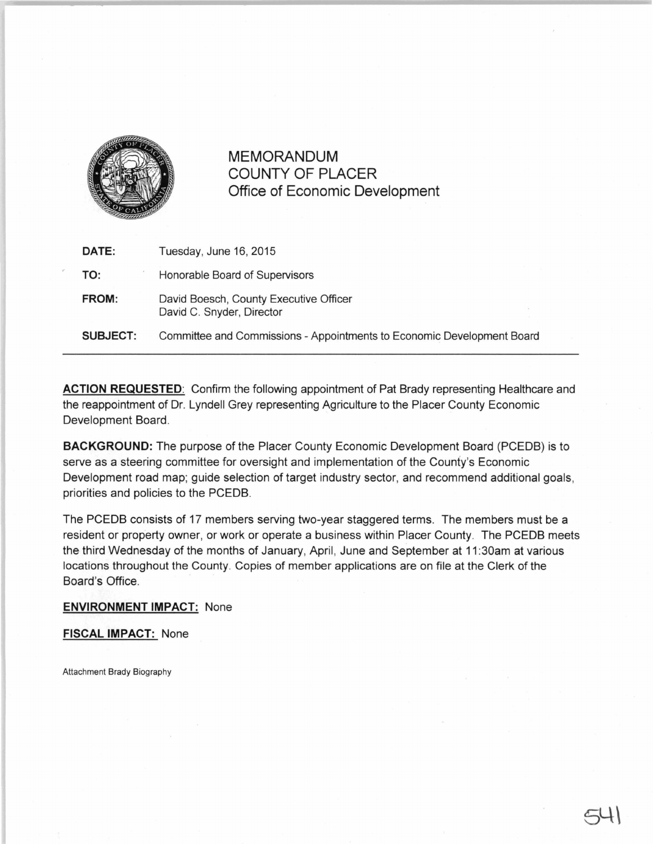

MEMORANDUM COUNTY OF PLACER Office of Economic Development

| DATE:           | Tuesday, June 16, 2015                                                 |
|-----------------|------------------------------------------------------------------------|
| TO:             | Honorable Board of Supervisors                                         |
| FROM:           | David Boesch, County Executive Officer<br>David C. Snyder, Director    |
| <b>SUBJECT:</b> | Committee and Commissions - Appointments to Economic Development Board |

ACTION REQUESTED: Confirm the following appointment of Pat Brady representing Healthcare and the reappointment of Dr. Lyndell Grey representing Agriculture to the Placer County Economic Development Board.

BACKGROUND: The purpose of the Placer County Economic Development Board (PCEDB) is to serve as a steering committee for oversight and implementation of the County's Economic Development road map; guide selection of target industry sector, and recommend additional goals, priorities and policies to the PCEDB.

The PCEDB consists of 17 members serving two-year staggered terms. The members must be a resident or property owner, or work or operate a business within Placer County. The PCEDB meets the third Wednesday of the months of January, April, June and September at 11 :30am at various locations throughout the County. Copies of member applications are on file at the Clerk of the Board's Office.

## **ENVIRONMENT IMPACT:** None

FISCAL IMPACT: None

Attachment Brady Biography